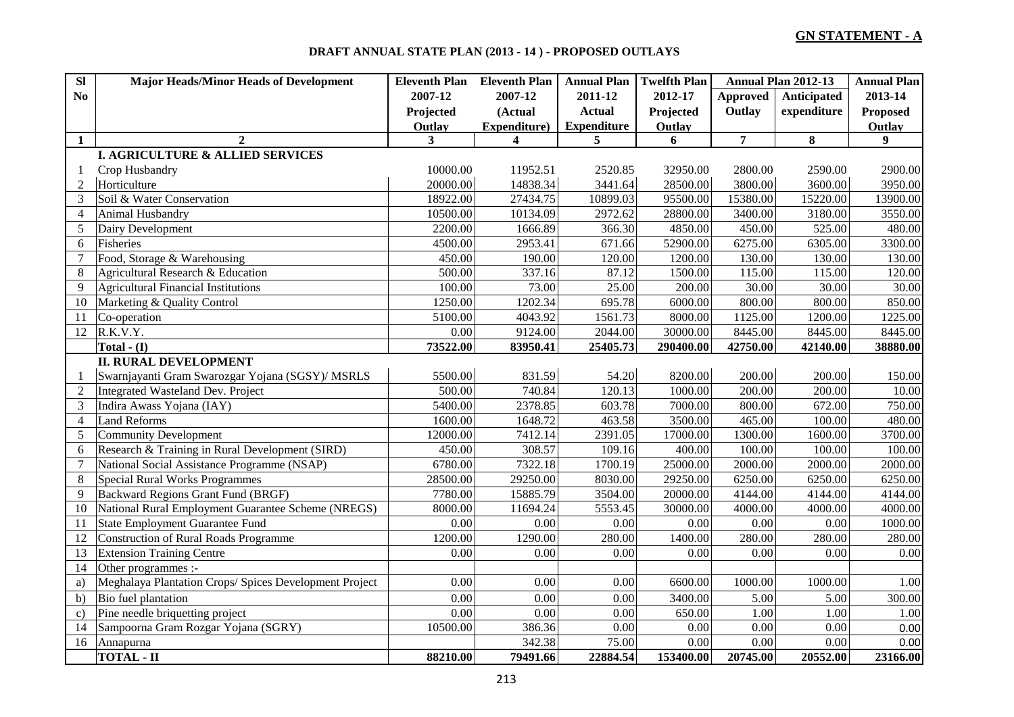## **DRAFT ANNUAL STATE PLAN (2013 - 14 ) - PROPOSED OUTLAYS**

| SI             | <b>Major Heads/Minor Heads of Development</b>          | <b>Eleventh Plan</b> Eleventh Plan |              | <b>Annual Plan</b> | <b>Twelfth Plan</b> |                | <b>Annual Plan 2012-13</b> | <b>Annual Plan</b> |
|----------------|--------------------------------------------------------|------------------------------------|--------------|--------------------|---------------------|----------------|----------------------------|--------------------|
| N <sub>0</sub> |                                                        | 2007-12                            | 2007-12      | 2011-12            | 2012-17             | Approved       | Anticipated                | 2013-14            |
|                |                                                        | Projected                          | (Actual      | <b>Actual</b>      | Projected           | Outlay         | expenditure                | <b>Proposed</b>    |
|                |                                                        | Outlay                             | Expenditure) | <b>Expenditure</b> | Outlay              |                |                            | Outlay             |
| 1              | $\mathbf{2}$                                           | $\mathbf{3}$                       | 4            | 5                  | 6                   | $\overline{7}$ | 8                          | 9                  |
|                | I. AGRICULTURE & ALLIED SERVICES                       |                                    |              |                    |                     |                |                            |                    |
| 1              | Crop Husbandry                                         | 10000.00                           | 11952.51     | 2520.85            | 32950.00            | 2800.00        | 2590.00                    | 2900.00            |
| $\overline{2}$ | Horticulture                                           | 20000.00                           | 14838.34     | 3441.64            | 28500.00            | 3800.00        | 3600.00                    | 3950.00            |
| 3              | Soil & Water Conservation                              | 18922.00                           | 27434.75     | 10899.03           | 95500.00            | 15380.00       | 15220.00                   | 13900.00           |
| $\overline{4}$ | Animal Husbandry                                       | 10500.00                           | 10134.09     | 2972.62            | 28800.00            | 3400.00        | 3180.00                    | 3550.00            |
| 5              | Dairy Development                                      | 2200.00                            | 1666.89      | 366.30             | 4850.00             | 450.00         | 525.00                     | 480.00             |
| 6              | Fisheries                                              | 4500.00                            | 2953.41      | 671.66             | 52900.00            | 6275.00        | 6305.00                    | 3300.00            |
| $\overline{7}$ | Food, Storage & Warehousing                            | 450.00                             | 190.00       | 120.00             | 1200.00             | 130.00         | 130.00                     | 130.00             |
| 8              | Agricultural Research & Education                      | 500.00                             | 337.16       | 87.12              | 1500.00             | 115.00         | 115.00                     | 120.00             |
| 9              | <b>Agricultural Financial Institutions</b>             | 100.00                             | 73.00        | 25.00              | 200.00              | 30.00          | 30.00                      | 30.00              |
| 10             | Marketing & Quality Control                            | 1250.00                            | 1202.34      | 695.78             | 6000.00             | 800.00         | 800.00                     | 850.00             |
| 11             | Co-operation                                           | 5100.00                            | 4043.92      | 1561.73            | 8000.00             | 1125.00        | 1200.00                    | 1225.00            |
| 12             | R.K.V.Y.                                               | 0.00                               | 9124.00      | 2044.00            | 30000.00            | 8445.00        | 8445.00                    | 8445.00            |
|                | Total - $(I)$                                          | 73522.00                           | 83950.41     | 25405.73           | 290400.00           | 42750.00       | 42140.00                   | 38880.00           |
|                | <b>II. RURAL DEVELOPMENT</b>                           |                                    |              |                    |                     |                |                            |                    |
| $\mathbf{1}$   | Swarnjayanti Gram Swarozgar Yojana (SGSY)/ MSRLS       | 5500.00                            | 831.59       | 54.20              | 8200.00             | 200.00         | 200.00                     | 150.00             |
| $\overline{2}$ | Integrated Wasteland Dev. Project                      | 500.00                             | 740.84       | 120.13             | 1000.00             | 200.00         | 200.00                     | 10.00              |
| 3              | Indira Awass Yojana (IAY)                              | 5400.00                            | 2378.85      | 603.78             | 7000.00             | 800.00         | 672.00                     | 750.00             |
| $\overline{4}$ | <b>Land Reforms</b>                                    | 1600.00                            | 1648.72      | 463.58             | 3500.00             | 465.00         | 100.00                     | 480.00             |
| 5              | <b>Community Development</b>                           | 12000.00                           | 7412.14      | 2391.05            | 17000.00            | 1300.00        | 1600.00                    | 3700.00            |
| 6              | Research & Training in Rural Development (SIRD)        | 450.00                             | 308.57       | 109.16             | 400.00              | 100.00         | 100.00                     | 100.00             |
| $\overline{7}$ | National Social Assistance Programme (NSAP)            | 6780.00                            | 7322.18      | 1700.19            | 25000.00            | 2000.00        | 2000.00                    | 2000.00            |
| 8              | <b>Special Rural Works Programmes</b>                  | 28500.00                           | 29250.00     | 8030.00            | 29250.00            | 6250.00        | 6250.00                    | 6250.00            |
| 9              | Backward Regions Grant Fund (BRGF)                     | 7780.00                            | 15885.79     | 3504.00            | 20000.00            | 4144.00        | 4144.00                    | 4144.00            |
| 10             | National Rural Employment Guarantee Scheme (NREGS)     | 8000.00                            | 11694.24     | 5553.45            | 30000.00            | 4000.00        | 4000.00                    | 4000.00            |
| 11             | State Employment Guarantee Fund                        | 0.00                               | 0.00         | 0.00               | 0.00                | 0.00           | 0.00                       | 1000.00            |
| 12             | <b>Construction of Rural Roads Programme</b>           | 1200.00                            | 1290.00      | 280.00             | 1400.00             | 280.00         | 280.00                     | 280.00             |
| 13             | <b>Extension Training Centre</b>                       | 0.00                               | 0.00         | 0.00               | 0.00                | 0.00           | 0.00                       | 0.00               |
| 14             | Other programmes :-                                    |                                    |              |                    |                     |                |                            |                    |
| a)             | Meghalaya Plantation Crops/ Spices Development Project | 0.00                               | 0.00         | 0.00               | 6600.00             | 1000.00        | 1000.00                    | 1.00               |
| b)             | Bio fuel plantation                                    | 0.00                               | 0.00         | 0.00               | 3400.00             | 5.00           | 5.00                       | 300.00             |
| $\mathbf{c})$  | Pine needle briquetting project                        | 0.00                               | 0.00         | 0.00               | 650.00              | 1.00           | 1.00                       | 1.00               |
| 14             | Sampoorna Gram Rozgar Yojana (SGRY)                    | 10500.00                           | 386.36       | 0.00               | 0.00                | 0.00           | 0.00                       | 0.00               |
| 16             | Annapurna                                              |                                    | 342.38       | 75.00              | 0.00                | 0.00           | 0.00                       | 0.00               |
|                | <b>TOTAL - II</b>                                      | 88210.00                           | 79491.66     | 22884.54           | 153400.00           | 20745.00       | 20552.00                   | 23166.00           |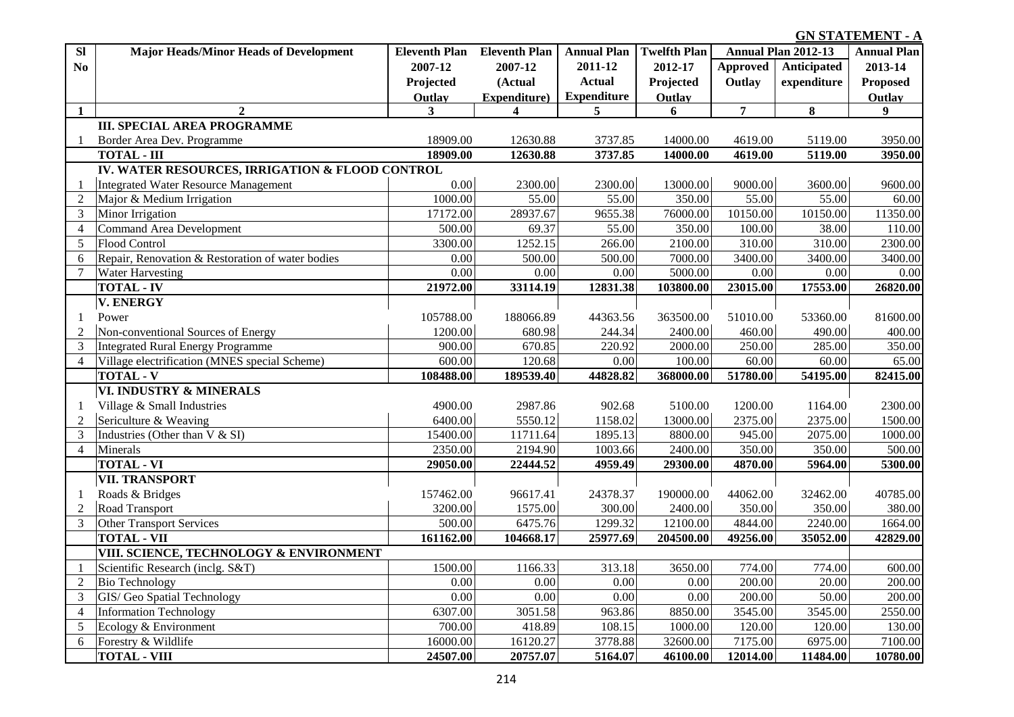# **GN STATEMENT - A .**

| SI             | <b>Major Heads/Minor Heads of Development</b>    | Eleventh Plan Eleventh Plan |                         | <b>Annual Plan</b> | <b>Twelfth Plan</b> |                 | Annual Plan 2012-13 | <b>Annual Plan</b> |
|----------------|--------------------------------------------------|-----------------------------|-------------------------|--------------------|---------------------|-----------------|---------------------|--------------------|
| N <sub>0</sub> |                                                  | 2007-12                     | 2007-12                 | 2011-12            | 2012-17             | <b>Approved</b> | Anticipated         | 2013-14            |
|                |                                                  | Projected                   | (Actual                 | <b>Actual</b>      | Projected           | Outlay          | expenditure         | <b>Proposed</b>    |
|                |                                                  | Outlay                      | Expenditure)            | <b>Expenditure</b> | Outlay              |                 |                     | Outlay             |
| $\mathbf{1}$   | $\overline{2}$                                   | 3                           | $\overline{\mathbf{4}}$ | 5                  | 6                   | $\overline{7}$  | 8                   | 9 <sup>1</sup>     |
|                | <b>III. SPECIAL AREA PROGRAMME</b>               |                             |                         |                    |                     |                 |                     |                    |
| -1             | Border Area Dev. Programme                       | 18909.00                    | 12630.88                | 3737.85            | 14000.00            | 4619.00         | 5119.00             | 3950.00            |
|                | <b>TOTAL - III</b>                               | 18909.00                    | 12630.88                | 3737.85            | 14000.00            | 4619.00         | 5119.00             | 3950.00            |
|                | IV. WATER RESOURCES, IRRIGATION & FLOOD CONTROL  |                             |                         |                    |                     |                 |                     |                    |
| 1              | <b>Integrated Water Resource Management</b>      | 0.00                        | 2300.00                 | 2300.00            | 13000.00            | 9000.00         | 3600.00             | 9600.00            |
| $\overline{c}$ | Major & Medium Irrigation                        | 1000.00                     | 55.00                   | 55.00              | 350.00              | 55.00           | 55.00               | 60.00              |
| 3              | Minor Irrigation                                 | 17172.00                    | 28937.67                | 9655.38            | 76000.00            | 10150.00        | 10150.00            | 11350.00           |
| $\overline{4}$ | <b>Command Area Development</b>                  | 500.00                      | 69.37                   | 55.00              | 350.00              | 100.00          | 38.00               | 110.00             |
| 5              | Flood Control                                    | 3300.00                     | 1252.15                 | 266.00             | 2100.00             | 310.00          | 310.00              | 2300.00            |
| 6              | Repair, Renovation & Restoration of water bodies | 0.00                        | 500.00                  | 500.00             | 7000.00             | 3400.00         | 3400.00             | 3400.00            |
| $\tau$         | <b>Water Harvesting</b>                          | 0.00                        | 0.00                    | 0.00               | 5000.00             | 0.00            | 0.00                | 0.00               |
|                | <b>TOTAL - IV</b>                                | 21972.00                    | 33114.19                | 12831.38           | 103800.00           | 23015.00        | 17553.00            | 26820.00           |
|                | <b>V. ENERGY</b>                                 |                             |                         |                    |                     |                 |                     |                    |
| 1              | Power                                            | 105788.00                   | 188066.89               | 44363.56           | 363500.00           | 51010.00        | 53360.00            | 81600.00           |
| $\overline{2}$ | Non-conventional Sources of Energy               | 1200.00                     | 680.98                  | 244.34             | 2400.00             | 460.00          | 490.00              | 400.00             |
| 3              | Integrated Rural Energy Programme                | 900.00                      | 670.85                  | 220.92             | 2000.00             | 250.00          | 285.00              | 350.00             |
| $\overline{4}$ | Village electrification (MNES special Scheme)    | 600.00                      | 120.68                  | 0.00               | 100.00              | 60.00           | 60.00               | 65.00              |
|                | <b>TOTAL - V</b>                                 | 108488.00                   | 189539.40               | 44828.82           | 368000.00           | 51780.00        | 54195.00            | 82415.00           |
|                | VI. INDUSTRY & MINERALS                          |                             |                         |                    |                     |                 |                     |                    |
| 1              | Village & Small Industries                       | 4900.00                     | 2987.86                 | 902.68             | 5100.00             | 1200.00         | 1164.00             | 2300.00            |
| $\overline{2}$ | Sericulture & Weaving                            | 6400.00                     | 5550.12                 | 1158.02            | 13000.00            | 2375.00         | 2375.00             | 1500.00            |
| 3              | Industries (Other than V & SI)                   | 15400.00                    | 11711.64                | 1895.13            | 8800.00             | 945.00          | 2075.00             | 1000.00            |
| $\overline{4}$ | Minerals                                         | 2350.00                     | 2194.90                 | 1003.66            | 2400.00             | 350.00          | 350.00              | 500.00             |
|                | <b>TOTAL - VI</b>                                | 29050.00                    | 22444.52                | 4959.49            | 29300.00            | 4870.00         | 5964.00             | 5300.00            |
|                | <b>VII. TRANSPORT</b>                            |                             |                         |                    |                     |                 |                     |                    |
| 1              | Roads & Bridges                                  | 157462.00                   | 96617.41                | 24378.37           | 190000.00           | 44062.00        | 32462.00            | 40785.00           |
| $\mathfrak{2}$ | Road Transport                                   | 3200.00                     | 1575.00                 | 300.00             | 2400.00             | 350.00          | 350.00              | 380.00             |
| 3              | <b>Other Transport Services</b>                  | 500.00                      | 6475.76                 | 1299.32            | 12100.00            | 4844.00         | 2240.00             | 1664.00            |
|                | <b>TOTAL - VII</b>                               | 161162.00                   | 104668.17               | 25977.69           | 204500.00           | 49256.00        | 35052.00            | 42829.00           |
|                | VIII. SCIENCE, TECHNOLOGY & ENVIRONMENT          |                             |                         |                    |                     |                 |                     |                    |
| -1             | Scientific Research (inclg. S&T)                 | 1500.00                     | 1166.33                 | 313.18             | 3650.00             | 774.00          | 774.00              | 600.00             |
| $\overline{2}$ | <b>Bio Technology</b>                            | 0.00                        | 0.00                    | 0.00               | 0.00                | 200.00          | 20.00               | 200.00             |
| 3              | GIS/ Geo Spatial Technology                      | 0.00                        | 0.00                    | 0.00               | 0.00                | 200.00          | 50.00               | 200.00             |
| $\overline{4}$ | <b>Information Technology</b>                    | 6307.00                     | 3051.58                 | 963.86             | 8850.00             | 3545.00         | 3545.00             | 2550.00            |
| 5              | Ecology & Environment                            | 700.00                      | 418.89                  | 108.15             | 1000.00             | 120.00          | 120.00              | 130.00             |
| 6              | Forestry & Wildlife                              | 16000.00                    | 16120.27                | 3778.88            | 32600.00            | 7175.00         | 6975.00             | 7100.00            |
|                | <b>TOTAL - VIII</b>                              | 24507.00                    | 20757.07                | 5164.07            | 46100.00            | 12014.00        | 11484.00            | 10780.00           |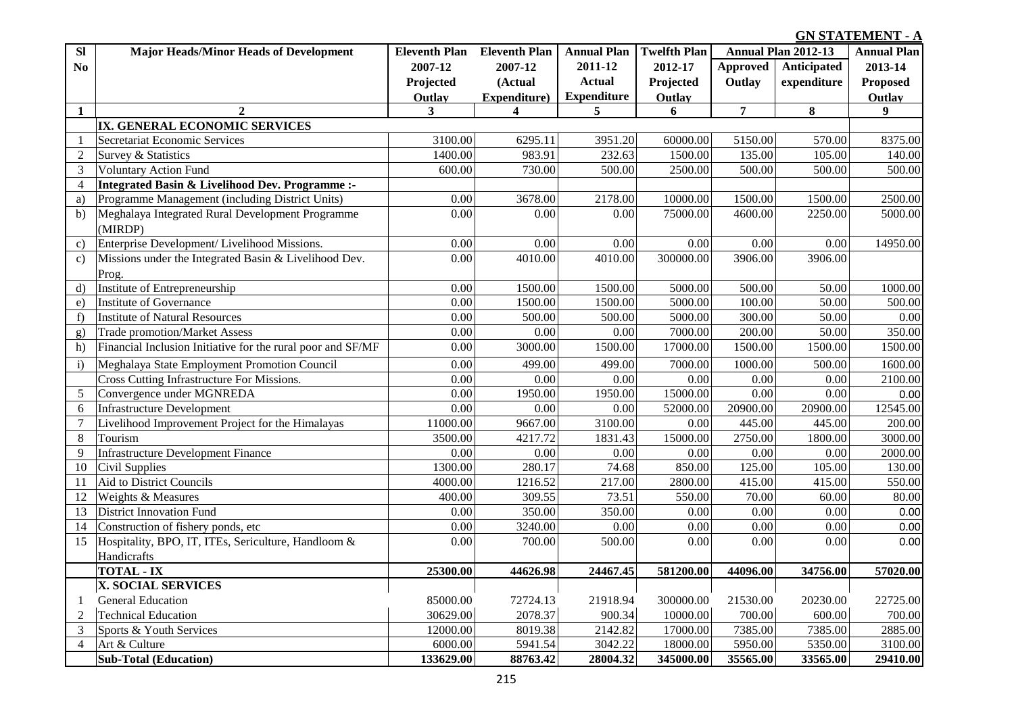## **GN STATEMENT - A .**

| <b>Sl</b>      | <b>Major Heads/Minor Heads of Development</b>               | <b>Eleventh Plan</b> | <b>Eleventh Plan</b> | <b>Annual Plan</b> | <b>Twelfth Plan</b> |                 | Annual Plan 2012-13 | <b>Annual Plan</b> |
|----------------|-------------------------------------------------------------|----------------------|----------------------|--------------------|---------------------|-----------------|---------------------|--------------------|
| No             |                                                             | 2007-12              | 2007-12              | 2011-12            | 2012-17             | <b>Approved</b> | Anticipated         | 2013-14            |
|                |                                                             | Projected            | (Actual              | <b>Actual</b>      | Projected           | Outlay          | expenditure         | <b>Proposed</b>    |
|                |                                                             | Outlay               | Expenditure)         | <b>Expenditure</b> | Outlay              |                 |                     | Outlay             |
| $\mathbf{1}$   | $\mathbf{2}$                                                | 3                    | $\boldsymbol{4}$     | 5                  | 6                   | $\overline{7}$  | 8                   | $\boldsymbol{9}$   |
|                | IX. GENERAL ECONOMIC SERVICES                               |                      |                      |                    |                     |                 |                     |                    |
| $\mathbf{1}$   | Secretariat Economic Services                               | 3100.00              | 6295.11              | 3951.20            | 60000.00            | 5150.00         | 570.00              | 8375.00            |
| $\overline{2}$ | Survey & Statistics                                         | 1400.00              | 983.91               | 232.63             | 1500.00             | 135.00          | 105.00              | 140.00             |
| $\overline{3}$ | <b>Voluntary Action Fund</b>                                | 600.00               | 730.00               | 500.00             | 2500.00             | 500.00          | 500.00              | 500.00             |
| 4              | Integrated Basin & Livelihood Dev. Programme :-             |                      |                      |                    |                     |                 |                     |                    |
| a)             | Programme Management (including District Units)             | 0.00                 | 3678.00              | 2178.00            | 10000.00            | 1500.00         | 1500.00             | 2500.00            |
| b)             | Meghalaya Integrated Rural Development Programme            | 0.00                 | 0.00                 | 0.00               | 75000.00            | 4600.00         | 2250.00             | 5000.00            |
|                | (MIRDP)                                                     |                      |                      |                    |                     |                 |                     |                    |
| $\mathbf{c}$   | Enterprise Development/ Livelihood Missions.                | 0.00                 | 0.00                 | 0.00               | 0.00                | 0.00            | 0.00                | 14950.00           |
| $\mathbf{c})$  | Missions under the Integrated Basin & Livelihood Dev.       | 0.00                 | 4010.00              | 4010.00            | 300000.00           | 3906.00         | 3906.00             |                    |
|                | Prog.                                                       |                      |                      |                    |                     |                 |                     |                    |
| $\mathbf{d}$   | Institute of Entrepreneurship                               | 0.00                 | 1500.00              | 1500.00            | 5000.00             | 500.00          | 50.00               | 1000.00            |
| e)             | <b>Institute of Governance</b>                              | 0.00                 | 1500.00              | 1500.00            | 5000.00             | 100.00          | 50.00               | 500.00             |
| f)             | <b>Institute of Natural Resources</b>                       | 0.00                 | 500.00               | 500.00             | 5000.00             | 300.00          | 50.00               | 0.00               |
| g)             | <b>Trade promotion/Market Assess</b>                        | 0.00                 | 0.00                 | 0.00               | 7000.00             | 200.00          | 50.00               | 350.00             |
| h)             | Financial Inclusion Initiative for the rural poor and SF/MF | 0.00                 | 3000.00              | 1500.00            | 17000.00            | 1500.00         | 1500.00             | 1500.00            |
| $\mathbf{i}$   | Meghalaya State Employment Promotion Council                | 0.00                 | 499.00               | 499.00             | 7000.00             | 1000.00         | 500.00              | 1600.00            |
|                | Cross Cutting Infrastructure For Missions.                  | 0.00                 | 0.00                 | 0.00               | 0.00                | 0.00            | 0.00                | 2100.00            |
| 5              | Convergence under MGNREDA                                   | 0.00                 | 1950.00              | 1950.00            | 15000.00            | 0.00            | 0.00                | 0.00               |
| 6              | <b>Infrastructure Development</b>                           | 0.00                 | 0.00                 | 0.00               | 52000.00            | 20900.00        | 20900.00            | 12545.00           |
| $\overline{7}$ | Livelihood Improvement Project for the Himalayas            | 11000.00             | 9667.00              | 3100.00            | 0.00                | 445.00          | 445.00              | 200.00             |
| $8\,$          | Tourism                                                     | 3500.00              | 4217.72              | 1831.43            | 15000.00            | 2750.00         | 1800.00             | 3000.00            |
| 9              | <b>Infrastructure Development Finance</b>                   | 0.00                 | 0.00                 | 0.00               | 0.00                | 0.00            | 0.00                | 2000.00            |
| 10             | Civil Supplies                                              | 1300.00              | 280.17               | 74.68              | 850.00              | 125.00          | 105.00              | 130.00             |
| 11             | Aid to District Councils                                    | 4000.00              | 1216.52              | 217.00             | 2800.00             | 415.00          | 415.00              | 550.00             |
| 12             | Weights & Measures                                          | 400.00               | 309.55               | 73.51              | 550.00              | 70.00           | 60.00               | 80.00              |
| 13             | <b>District Innovation Fund</b>                             | 0.00                 | 350.00               | 350.00             | 0.00                | 0.00            | 0.00                | 0.00               |
| 14             | Construction of fishery ponds, etc                          | 0.00                 | 3240.00              | 0.00               | 0.00                | 0.00            | 0.00                | 0.00               |
| 15             | Hospitality, BPO, IT, ITEs, Sericulture, Handloom &         | 0.00                 | 700.00               | 500.00             | 0.00                | 0.00            | 0.00                | 0.00               |
|                | Handicrafts                                                 |                      |                      |                    |                     |                 |                     |                    |
|                | <b>TOTAL - IX</b>                                           | 25300.00             | 44626.98             | 24467.45           | 581200.00           | 44096.00        | 34756.00            | 57020.00           |
|                | X. SOCIAL SERVICES                                          |                      |                      |                    |                     |                 |                     |                    |
| 1              | <b>General Education</b>                                    | 85000.00             | 72724.13             | 21918.94           | 300000.00           | 21530.00        | 20230.00            | 22725.00           |
| $\overline{2}$ | <b>Technical Education</b>                                  | 30629.00             | 2078.37              | 900.34             | 10000.00            | 700.00          | 600.00              | 700.00             |
| 3              | Sports & Youth Services                                     | 12000.00             | 8019.38              | 2142.82            | 17000.00            | 7385.00         | 7385.00             | 2885.00            |
| $\overline{4}$ | Art & Culture                                               | 6000.00              | 5941.54              | 3042.22            | 18000.00            | 5950.00         | 5350.00             | 3100.00            |
|                | <b>Sub-Total (Education)</b>                                | 133629.00            | 88763.42             | 28004.32           | 345000.00           | 35565.00        | 33565.00            | 29410.00           |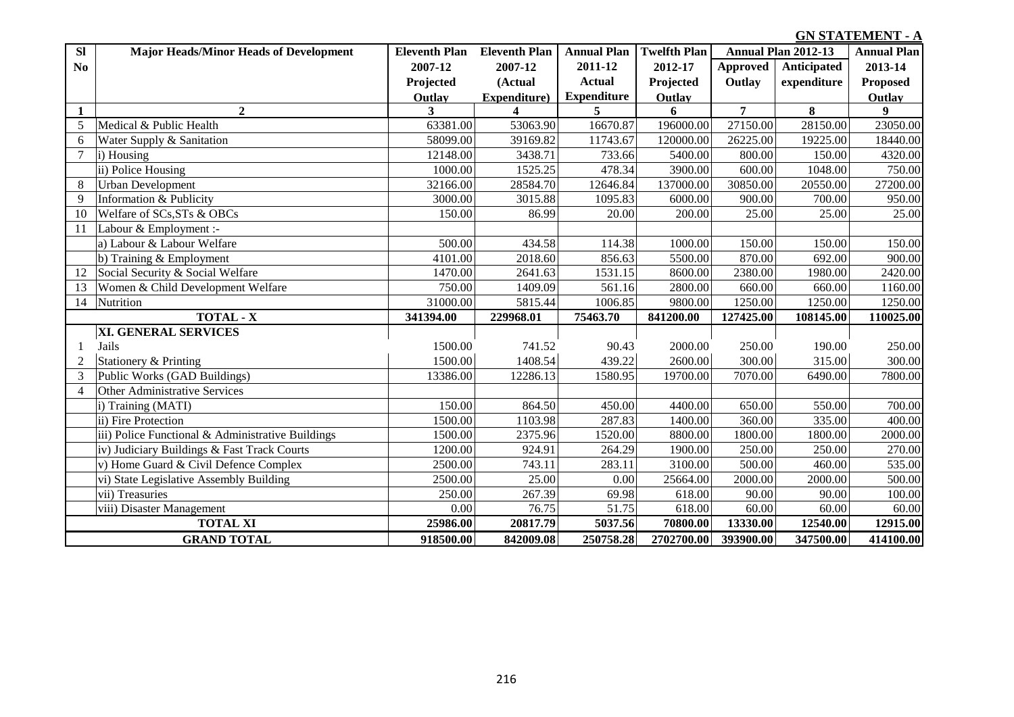### **GN STATEMENT - A .**

| SI             | <b>Major Heads/Minor Heads of Development</b>     | <b>Eleventh Plan</b> | <b>Eleventh Plan</b> | <b>Annual Plan</b> | <b>Twelfth Plan</b> |                 | <b>Annual Plan 2012-13</b> | <b>Annual Plan</b> |
|----------------|---------------------------------------------------|----------------------|----------------------|--------------------|---------------------|-----------------|----------------------------|--------------------|
| No             |                                                   | 2007-12              | 2007-12              | 2011-12            | 2012-17             | <b>Approved</b> | Anticipated                | 2013-14            |
|                |                                                   | Projected            | (Actual              | <b>Actual</b>      | Projected           | Outlay          | expenditure                | <b>Proposed</b>    |
|                |                                                   | Outlay               | Expenditure)         | <b>Expenditure</b> | Outlay              |                 |                            | Outlay             |
|                | $\mathbf{2}$                                      | 3                    | 4                    | 5                  | 6                   | $\overline{7}$  | 8                          | 9                  |
| 5              | Medical & Public Health                           | 63381.00             | 53063.90             | 16670.87           | 196000.00           | 27150.00        | 28150.00                   | 23050.00           |
| 6              | Water Supply & Sanitation                         | 58099.00             | 39169.82             | 11743.67           | 120000.00           | 26225.00        | 19225.00                   | 18440.00           |
| $\overline{7}$ | i) Housing                                        | 12148.00             | 3438.71              | 733.66             | 5400.00             | 800.00          | 150.00                     | 4320.00            |
|                | ii) Police Housing                                | 1000.00              | 1525.25              | 478.34             | 3900.00             | 600.00          | 1048.00                    | 750.00             |
| 8              | <b>Urban Development</b>                          | 32166.00             | 28584.70             | 12646.84           | 137000.00           | 30850.00        | 20550.00                   | 27200.00           |
| 9              | Information & Publicity                           | 3000.00              | 3015.88              | 1095.83            | 6000.00             | 900.00          | 700.00                     | 950.00             |
| 10             | Welfare of SCs, STs & OBCs                        | 150.00               | 86.99                | 20.00              | 200.00              | 25.00           | 25.00                      | 25.00              |
| 11             | Labour & Employment :-                            |                      |                      |                    |                     |                 |                            |                    |
|                | a) Labour & Labour Welfare                        | 500.00               | 434.58               | 114.38             | 1000.00             | 150.00          | 150.00                     | 150.00             |
|                | b) Training & Employment                          | 4101.00              | 2018.60              | 856.63             | 5500.00             | 870.00          | 692.00                     | 900.00             |
| 12             | Social Security & Social Welfare                  | 1470.00              | 2641.63              | 1531.15            | 8600.00             | 2380.00         | 1980.00                    | 2420.00            |
| 13             | Women & Child Development Welfare                 | 750.00               | 1409.09              | 561.16             | 2800.00             | 660.00          | 660.00                     | 1160.00            |
| 14             | Nutrition                                         | 31000.00             | 5815.44              | 1006.85            | 9800.00             | 1250.00         | 1250.00                    | 1250.00            |
|                | <b>TOTAL - X</b>                                  | 341394.00            | 229968.01            | 75463.70           | 841200.00           | 127425.00       | 108145.00                  | 110025.00          |
|                | <b>XI. GENERAL SERVICES</b>                       |                      |                      |                    |                     |                 |                            |                    |
|                | Jails                                             | 1500.00              | 741.52               | 90.43              | 2000.00             | 250.00          | 190.00                     | 250.00             |
| $\overline{2}$ | Stationery & Printing                             | 1500.00              | 1408.54              | 439.22             | 2600.00             | 300.00          | 315.00                     | 300.00             |
| 3              | Public Works (GAD Buildings)                      | 13386.00             | 12286.13             | 1580.95            | 19700.00            | 7070.00         | 6490.00                    | 7800.00            |
| $\overline{4}$ | Other Administrative Services                     |                      |                      |                    |                     |                 |                            |                    |
|                | i) Training (MATI)                                | 150.00               | 864.50               | 450.00             | 4400.00             | 650.00          | 550.00                     | 700.00             |
|                | ii) Fire Protection                               | 1500.00              | 1103.98              | 287.83             | 1400.00             | 360.00          | 335.00                     | 400.00             |
|                | iii) Police Functional & Administrative Buildings | 1500.00              | 2375.96              | 1520.00            | 8800.00             | 1800.00         | 1800.00                    | 2000.00            |
|                | iv) Judiciary Buildings & Fast Track Courts       | 1200.00              | 924.91               | 264.29             | 1900.00             | 250.00          | 250.00                     | 270.00             |
|                | v) Home Guard & Civil Defence Complex             | 2500.00              | 743.11               | 283.11             | 3100.00             | 500.00          | 460.00                     | 535.00             |
|                | vi) State Legislative Assembly Building           | 2500.00              | 25.00                | 0.00               | 25664.00            | 2000.00         | 2000.00                    | 500.00             |
|                | vii) Treasuries                                   | 250.00               | 267.39               | 69.98              | 618.00              | 90.00           | 90.00                      | 100.00             |
|                | viii) Disaster Management                         | 0.00                 | 76.75                | 51.75              | 618.00              | 60.00           | 60.00                      | 60.00              |
|                | <b>TOTAL XI</b>                                   | 25986.00             | 20817.79             | 5037.56            | 70800.00            | 13330.00        | 12540.00                   | 12915.00           |
|                | <b>GRAND TOTAL</b>                                | 918500.00            | 842009.08            | 250758.28          | 2702700.00          | 393900.00       | 347500.00                  | 414100.00          |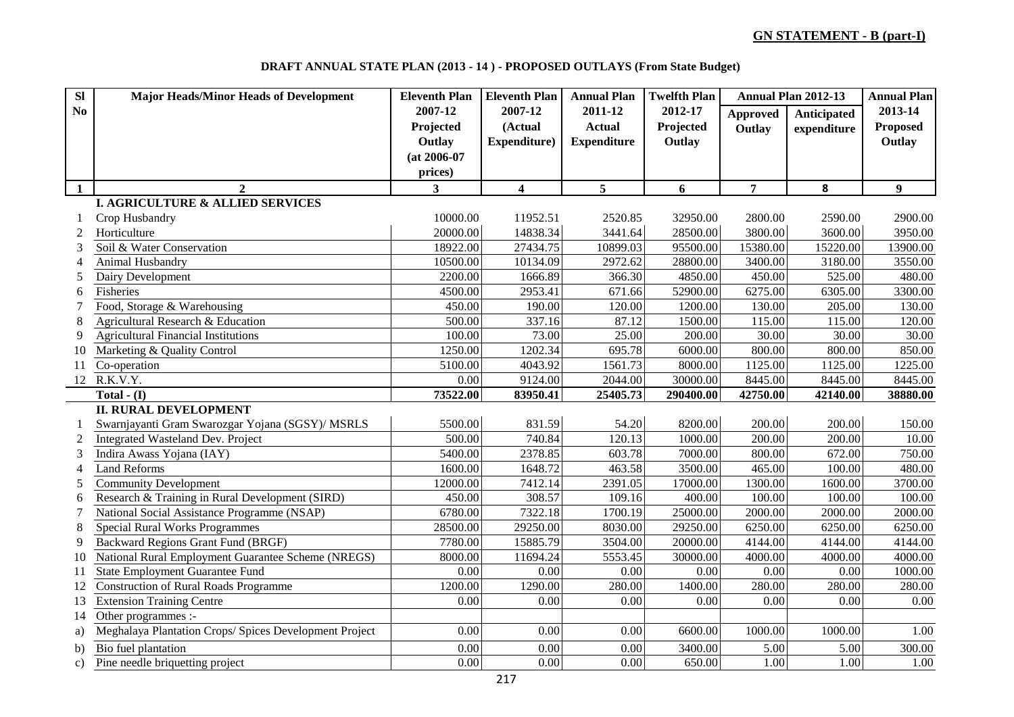**DRAFT ANNUAL STATE PLAN (2013 - 14 ) - PROPOSED OUTLAYS (From State Budget)**

| $\overline{\mathbf{S}}$ | <b>Major Heads/Minor Heads of Development</b>          | <b>Eleventh Plan</b> | <b>Eleventh Plan</b>    | <b>Annual Plan</b> | <b>Twelfth Plan</b> |                 | Annual Plan 2012-13 | <b>Annual Plan</b> |
|-------------------------|--------------------------------------------------------|----------------------|-------------------------|--------------------|---------------------|-----------------|---------------------|--------------------|
| N <sub>0</sub>          |                                                        | 2007-12              | 2007-12                 | 2011-12            | 2012-17             | <b>Approved</b> | Anticipated         | 2013-14            |
|                         |                                                        | Projected            | (Actual                 | <b>Actual</b>      | Projected           | Outlay          | expenditure         | <b>Proposed</b>    |
|                         |                                                        | Outlay               | Expenditure)            | <b>Expenditure</b> | Outlay              |                 |                     | Outlay             |
|                         |                                                        | $(at 2006-07)$       |                         |                    |                     |                 |                     |                    |
|                         |                                                        | prices)              |                         |                    |                     |                 |                     |                    |
| $\mathbf{1}$            | $\mathbf{2}$                                           | 3                    | $\overline{\mathbf{4}}$ | 5                  | 6                   | $\overline{7}$  | 8                   | $\boldsymbol{9}$   |
|                         | I. AGRICULTURE & ALLIED SERVICES                       |                      |                         |                    |                     |                 |                     |                    |
|                         | Crop Husbandry                                         | 10000.00             | 11952.51                | 2520.85            | 32950.00            | 2800.00         | 2590.00             | 2900.00            |
| $\overline{2}$          | Horticulture                                           | 20000.00             | 14838.34                | 3441.64            | 28500.00            | 3800.00         | 3600.00             | 3950.00            |
| 3                       | Soil & Water Conservation                              | 18922.00             | 27434.75                | 10899.03           | 95500.00            | 15380.00        | 15220.00            | 13900.00           |
| 4                       | Animal Husbandry                                       | 10500.00             | 10134.09                | 2972.62            | 28800.00            | 3400.00         | 3180.00             | 3550.00            |
| 5                       | Dairy Development                                      | 2200.00              | 1666.89                 | 366.30             | 4850.00             | 450.00          | 525.00              | 480.00             |
| 6                       | Fisheries                                              | 4500.00              | 2953.41                 | 671.66             | 52900.00            | 6275.00         | 6305.00             | 3300.00            |
| 7                       | Food, Storage & Warehousing                            | 450.00               | 190.00                  | 120.00             | 1200.00             | 130.00          | 205.00              | 130.00             |
| 8                       | Agricultural Research & Education                      | 500.00               | 337.16                  | 87.12              | 1500.00             | 115.00          | 115.00              | 120.00             |
| 9                       | <b>Agricultural Financial Institutions</b>             | 100.00               | 73.00                   | 25.00              | 200.00              | 30.00           | 30.00               | 30.00              |
| 10                      | Marketing & Quality Control                            | 1250.00              | 1202.34                 | 695.78             | 6000.00             | 800.00          | 800.00              | 850.00             |
| 11                      | Co-operation                                           | 5100.00              | 4043.92                 | 1561.73            | 8000.00             | 1125.00         | 1125.00             | 1225.00            |
| 12                      | R.K.V.Y.                                               | 0.00                 | 9124.00                 | 2044.00            | 30000.00            | 8445.00         | 8445.00             | 8445.00            |
|                         | Total - $(I)$                                          | 73522.00             | 83950.41                | 25405.73           | 290400.00           | 42750.00        | 42140.00            | 38880.00           |
|                         | <b>II. RURAL DEVELOPMENT</b>                           |                      |                         |                    |                     |                 |                     |                    |
|                         | Swarnjayanti Gram Swarozgar Yojana (SGSY)/ MSRLS       | 5500.00              | 831.59                  | 54.20              | 8200.00             | 200.00          | 200.00              | 150.00             |
| $\overline{2}$          | Integrated Wasteland Dev. Project                      | 500.00               | 740.84                  | 120.13             | 1000.00             | 200.00          | 200.00              | 10.00              |
| 3                       | Indira Awass Yojana (IAY)                              | 5400.00              | 2378.85                 | 603.78             | 7000.00             | 800.00          | 672.00              | 750.00             |
| 4                       | <b>Land Reforms</b>                                    | 1600.00              | 1648.72                 | 463.58             | 3500.00             | 465.00          | 100.00              | 480.00             |
| 5                       | <b>Community Development</b>                           | 12000.00             | 7412.14                 | 2391.05            | 17000.00            | 1300.00         | 1600.00             | 3700.00            |
| 6                       | Research & Training in Rural Development (SIRD)        | 450.00               | 308.57                  | 109.16             | 400.00              | 100.00          | 100.00              | 100.00             |
| 7                       | National Social Assistance Programme (NSAP)            | 6780.00              | 7322.18                 | 1700.19            | 25000.00            | 2000.00         | 2000.00             | 2000.00            |
| 8                       | <b>Special Rural Works Programmes</b>                  | 28500.00             | 29250.00                | 8030.00            | 29250.00            | 6250.00         | 6250.00             | 6250.00            |
| 9                       | Backward Regions Grant Fund (BRGF)                     | 7780.00              | 15885.79                | 3504.00            | 20000.00            | 4144.00         | 4144.00             | 4144.00            |
| 10                      | National Rural Employment Guarantee Scheme (NREGS)     | 8000.00              | 11694.24                | 5553.45            | 30000.00            | 4000.00         | 4000.00             | 4000.00            |
| 11                      | <b>State Employment Guarantee Fund</b>                 | 0.00                 | 0.00                    | 0.00               | $0.00\,$            | 0.00            | 0.00                | 1000.00            |
| 12                      | <b>Construction of Rural Roads Programme</b>           | 1200.00              | 1290.00                 | 280.00             | 1400.00             | 280.00          | 280.00              | 280.00             |
| 13                      | <b>Extension Training Centre</b>                       | 0.00                 | 0.00                    | 0.00               | 0.00                | 0.00            | 0.00                | 0.00               |
| 14                      | Other programmes :-                                    |                      |                         |                    |                     |                 |                     |                    |
| a)                      | Meghalaya Plantation Crops/ Spices Development Project | 0.00                 | $0.00\,$                | 0.00               | 6600.00             | 1000.00         | 1000.00             | 1.00               |
| b)                      | Bio fuel plantation                                    | 0.00                 | 0.00                    | 0.00               | 3400.00             | 5.00            | 5.00                | 300.00             |
| $\mathbf{c}$ )          | Pine needle briquetting project                        | 0.00                 | 0.00                    | 0.00               | 650.00              | 1.00            | 1.00                | 1.00               |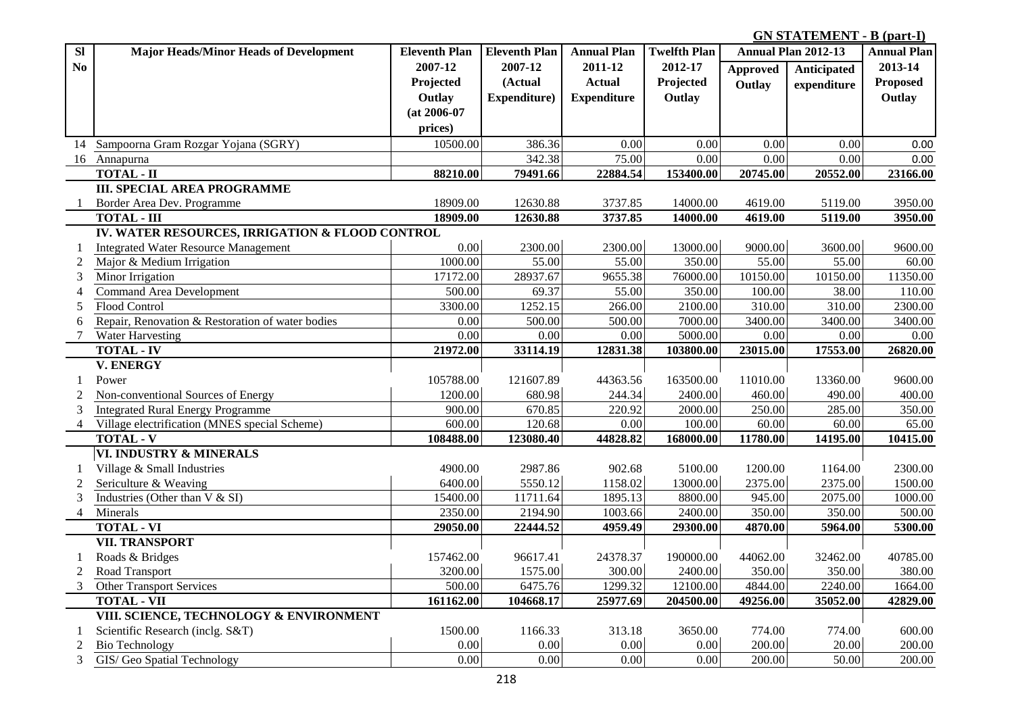**GN STATEMENT - B (part-I) .**

| <b>SI</b>      | <b>Major Heads/Minor Heads of Development</b>    | <b>Eleventh Plan</b> | <b>Eleventh Plan</b> | <b>Annual Plan</b> | <b>Twelfth Plan</b> |                 | Annual Plan 2012-13 | <b>Annual Plan</b> |
|----------------|--------------------------------------------------|----------------------|----------------------|--------------------|---------------------|-----------------|---------------------|--------------------|
| No             |                                                  | 2007-12              | 2007-12              | 2011-12            | 2012-17             | <b>Approved</b> | <b>Anticipated</b>  | 2013-14            |
|                |                                                  | Projected            | (Actual              | <b>Actual</b>      | Projected           | Outlay          | expenditure         | <b>Proposed</b>    |
|                |                                                  | Outlay               | Expenditure)         | <b>Expenditure</b> | Outlay              |                 |                     | Outlay             |
|                |                                                  | $(at 2006-07)$       |                      |                    |                     |                 |                     |                    |
|                |                                                  | prices)              |                      |                    |                     |                 |                     |                    |
|                | 14 Sampoorna Gram Rozgar Yojana (SGRY)           | 10500.00             | 386.36               | 0.00               | 0.00                | 0.00            | 0.00                | 0.00               |
|                | 16 Annapurna                                     |                      | 342.38               | 75.00              | 0.00                | 0.00            | 0.00                | 0.00               |
|                | <b>TOTAL - II</b>                                | 88210.00             | 79491.66             | 22884.54           | 153400.00           | 20745.00        | 20552.00            | 23166.00           |
|                | <b>III. SPECIAL AREA PROGRAMME</b>               |                      |                      |                    |                     |                 |                     |                    |
|                | Border Area Dev. Programme                       | 18909.00             | 12630.88             | 3737.85            | 14000.00            | 4619.00         | 5119.00             | 3950.00            |
|                | <b>TOTAL - III</b>                               | 18909.00             | 12630.88             | 3737.85            | 14000.00            | 4619.00         | 5119.00             | 3950.00            |
|                | IV. WATER RESOURCES, IRRIGATION & FLOOD CONTROL  |                      |                      |                    |                     |                 |                     |                    |
|                | <b>Integrated Water Resource Management</b>      | 0.00                 | 2300.00              | 2300.00            | 13000.00            | 9000.00         | 3600.00             | 9600.00            |
| $\overline{c}$ | Major & Medium Irrigation                        | 1000.00              | 55.00                | 55.00              | 350.00              | 55.00           | 55.00               | 60.00              |
| 3              | Minor Irrigation                                 | 17172.00             | 28937.67             | 9655.38            | 76000.00            | 10150.00        | 10150.00            | 11350.00           |
| $\overline{4}$ | <b>Command Area Development</b>                  | 500.00               | 69.37                | 55.00              | 350.00              | 100.00          | 38.00               | 110.00             |
| 5              | Flood Control                                    | 3300.00              | 1252.15              | 266.00             | 2100.00             | 310.00          | 310.00              | 2300.00            |
| 6              | Repair, Renovation & Restoration of water bodies | 0.00                 | 500.00               | 500.00             | 7000.00             | 3400.00         | 3400.00             | 3400.00            |
| 7              | Water Harvesting                                 | 0.00                 | $0.00\,$             | $0.00\,$           | 5000.00             | $0.00\,$        | 0.00                | 0.00               |
|                | <b>TOTAL - IV</b>                                | 21972.00             | 33114.19             | 12831.38           | 103800.00           | 23015.00        | 17553.00            | 26820.00           |
|                | <b>V. ENERGY</b>                                 |                      |                      |                    |                     |                 |                     |                    |
| 1              | Power                                            | 105788.00            | 121607.89            | 44363.56           | 163500.00           | 11010.00        | 13360.00            | 9600.00            |
| 2              | Non-conventional Sources of Energy               | 1200.00              | 680.98               | 244.34             | 2400.00             | 460.00          | 490.00              | 400.00             |
| 3              | <b>Integrated Rural Energy Programme</b>         | 900.00               | 670.85               | 220.92             | 2000.00             | 250.00          | 285.00              | 350.00             |
| $\overline{4}$ | Village electrification (MNES special Scheme)    | 600.00               | 120.68               | 0.00               | 100.00              | 60.00           | 60.00               | 65.00              |
|                | <b>TOTAL - V</b>                                 | 108488.00            | 123080.40            | 44828.82           | 168000.00           | 11780.00        | 14195.00            | 10415.00           |
|                | VI. INDUSTRY & MINERALS                          |                      |                      |                    |                     |                 |                     |                    |
|                | Village & Small Industries                       | 4900.00              | 2987.86              | 902.68             | 5100.00             | 1200.00         | 1164.00             | 2300.00            |
| $\overline{2}$ | Sericulture & Weaving                            | 6400.00              | 5550.12              | 1158.02            | 13000.00            | 2375.00         | 2375.00             | 1500.00            |
| 3              | Industries (Other than $V & S$ I)                | 15400.00             | 11711.64             | 1895.13            | 8800.00             | 945.00          | 2075.00             | 1000.00            |
| $\overline{4}$ | Minerals                                         | 2350.00              | 2194.90              | 1003.66            | 2400.00             | 350.00          | 350.00              | 500.00             |
|                | <b>TOTAL - VI</b>                                | 29050.00             | 22444.52             | 4959.49            | 29300.00            | 4870.00         | 5964.00             | 5300.00            |
|                | <b>VII. TRANSPORT</b>                            |                      |                      |                    |                     |                 |                     |                    |
| -1             | Roads & Bridges                                  | 157462.00            | 96617.41             | 24378.37           | 190000.00           | 44062.00        | 32462.00            | 40785.00           |
| 2              | Road Transport                                   | 3200.00              | 1575.00              | 300.00             | 2400.00             | 350.00          | 350.00              | 380.00             |
| $\mathfrak{Z}$ | Other Transport Services                         | 500.00               | 6475.76              | 1299.32            | 12100.00            | 4844.00         | 2240.00             | 1664.00            |
|                | <b>TOTAL - VII</b>                               | 161162.00            | 104668.17            | 25977.69           | 204500.00           | 49256.00        | 35052.00            | 42829.00           |
|                | VIII. SCIENCE, TECHNOLOGY & ENVIRONMENT          |                      |                      |                    |                     |                 |                     |                    |
|                | Scientific Research (inclg. S&T)                 | 1500.00              | 1166.33              | 313.18             | 3650.00             | 774.00          | 774.00              | 600.00             |
| 2              | <b>Bio Technology</b>                            | 0.00                 | 0.00                 | 0.00               | $0.00\,$            | 200.00          | 20.00               | 200.00             |
| 3              | GIS/ Geo Spatial Technology                      | 0.00                 | 0.00                 | 0.00               | 0.00                | 200.00          | 50.00               | 200.00             |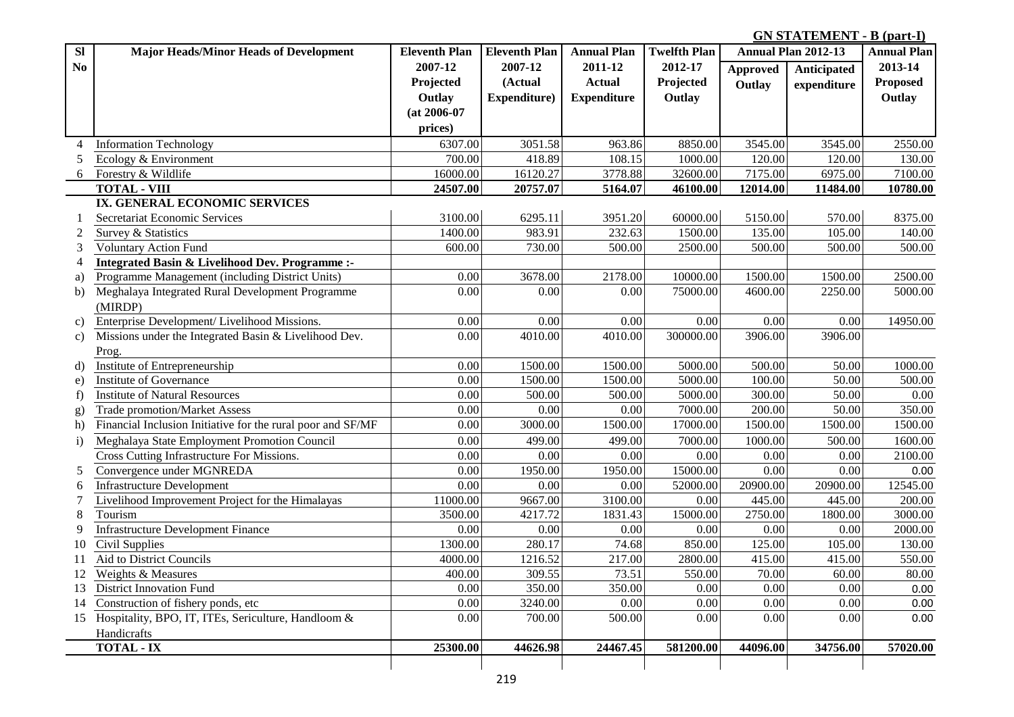**GN STATEMENT - B (part-I) .**

| <b>Sl</b>      | <b>Major Heads/Minor Heads of Development</b>               | <b>Eleventh Plan</b> | <b>Eleventh Plan</b> | <b>Annual Plan</b> | <b>Twelfth Plan</b> |                 | <b>Annual Plan 2012-13</b> | <b>Annual Plan</b> |
|----------------|-------------------------------------------------------------|----------------------|----------------------|--------------------|---------------------|-----------------|----------------------------|--------------------|
| N <sub>0</sub> |                                                             | 2007-12              | 2007-12              | 2011-12            | 2012-17             | <b>Approved</b> | Anticipated                | 2013-14            |
|                |                                                             | Projected            | (Actual              | <b>Actual</b>      | Projected           | Outlay          | expenditure                | <b>Proposed</b>    |
|                |                                                             | Outlay               | Expenditure)         | <b>Expenditure</b> | Outlay              |                 |                            | Outlay             |
|                |                                                             | $(at 2006-07)$       |                      |                    |                     |                 |                            |                    |
|                |                                                             | prices)              |                      |                    |                     |                 |                            |                    |
| 4              | <b>Information Technology</b>                               | 6307.00              | 3051.58              | 963.86             | 8850.00             | 3545.00         | 3545.00                    | 2550.00            |
|                | Ecology & Environment                                       | 700.00               | 418.89               | 108.15             | 1000.00             | 120.00          | 120.00                     | 130.00             |
| 6              | Forestry & Wildlife                                         | 16000.00             | 16120.27             | 3778.88            | 32600.00            | 7175.00         | 6975.00                    | 7100.00            |
|                | <b>TOTAL - VIII</b>                                         | 24507.00             | 20757.07             | 5164.07            | 46100.00            | 12014.00        | 11484.00                   | 10780.00           |
|                | IX. GENERAL ECONOMIC SERVICES                               |                      |                      |                    |                     |                 |                            |                    |
|                | Secretariat Economic Services                               | 3100.00              | 6295.11              | 3951.20            | 60000.00            | 5150.00         | 570.00                     | 8375.00            |
|                | Survey & Statistics                                         | 1400.00              | 983.91               | 232.63             | 1500.00             | 135.00          | 105.00                     | 140.00             |
| 3              | <b>Voluntary Action Fund</b>                                | 600.00               | 730.00               | 500.00             | 2500.00             | 500.00          | 500.00                     | 500.00             |
|                | Integrated Basin & Livelihood Dev. Programme :-             |                      |                      |                    |                     |                 |                            |                    |
| a)             | Programme Management (including District Units)             | 0.00                 | 3678.00              | 2178.00            | 10000.00            | 1500.00         | 1500.00                    | 2500.00            |
| b)             | Meghalaya Integrated Rural Development Programme            | 0.00                 | 0.00                 | 0.00               | 75000.00            | 4600.00         | 2250.00                    | 5000.00            |
|                | (MIRDP)                                                     |                      |                      |                    |                     |                 |                            |                    |
| C)             | Enterprise Development/ Livelihood Missions.                | 0.00                 | 0.00                 | 0.00               | 0.00                | 0.00            | 0.00                       | 14950.00           |
| c)             | Missions under the Integrated Basin & Livelihood Dev.       | 0.00                 | 4010.00              | 4010.00            | 300000.00           | 3906.00         | 3906.00                    |                    |
|                | Prog.                                                       |                      |                      |                    |                     |                 |                            |                    |
| d)             | Institute of Entrepreneurship                               | 0.00                 | 1500.00              | 1500.00            | 5000.00             | 500.00          | 50.00                      | 1000.00            |
| e)             | Institute of Governance                                     | 0.00                 | 1500.00              | 1500.00            | 5000.00             | 100.00          | 50.00                      | 500.00             |
| f)             | <b>Institute of Natural Resources</b>                       | 0.00                 | 500.00               | 500.00             | 5000.00             | 300.00          | 50.00                      | 0.00               |
| g)             | <b>Trade promotion/Market Assess</b>                        | 0.00                 | 0.00                 | 0.00               | 7000.00             | 200.00          | 50.00                      | 350.00             |
| h)             | Financial Inclusion Initiative for the rural poor and SF/MF | 0.00                 | 3000.00              | 1500.00            | 17000.00            | 1500.00         | 1500.00                    | 1500.00            |
| $\mathbf{i}$   | Meghalaya State Employment Promotion Council                | 0.00                 | 499.00               | 499.00             | 7000.00             | 1000.00         | 500.00                     | 1600.00            |
|                | Cross Cutting Infrastructure For Missions.                  | 0.00                 | $0.00\,$             | 0.00               | 0.00                | 0.00            | 0.00                       | 2100.00            |
| 5              | Convergence under MGNREDA                                   | 0.00                 | 1950.00              | 1950.00            | 15000.00            | 0.00            | 0.00                       | 0.00               |
| 6              | <b>Infrastructure Development</b>                           | 0.00                 | 0.00                 | 0.00               | 52000.00            | 20900.00        | 20900.00                   | 12545.00           |
|                | Livelihood Improvement Project for the Himalayas            | 11000.00             | 9667.00              | 3100.00            | 0.00                | 445.00          | 445.00                     | 200.00             |
| 8              | Tourism                                                     | 3500.00              | 4217.72              | 1831.43            | 15000.00            | 2750.00         | 1800.00                    | 3000.00            |
| 9              | <b>Infrastructure Development Finance</b>                   | 0.00                 | 0.00                 | 0.00               | 0.00                | 0.00            | 0.00                       | 2000.00            |
| 10             | Civil Supplies                                              | 1300.00              | 280.17               | 74.68              | 850.00              | 125.00          | 105.00                     | 130.00             |
| 11             | Aid to District Councils                                    | 4000.00              | 1216.52              | 217.00             | 2800.00             | 415.00          | 415.00                     | 550.00             |
| 12             | Weights & Measures                                          | 400.00               | 309.55               | 73.51              | 550.00              | 70.00           | 60.00                      | 80.00              |
| 13             | <b>District Innovation Fund</b>                             | $0.00\,$             | 350.00               | 350.00             | 0.00                | 0.00            | 0.00                       | 0.00               |
| 14             | Construction of fishery ponds, etc                          | $0.00\,$             | 3240.00              | $0.00\,$           | 0.00                | 0.00            | 0.00                       | 0.00               |
| 15             | Hospitality, BPO, IT, ITEs, Sericulture, Handloom &         | $0.00\,$             | 700.00               | 500.00             | 0.00                | 0.00            | 0.00                       | 0.00               |
|                | Handicrafts                                                 |                      |                      |                    |                     |                 |                            |                    |
|                | <b>TOTAL - IX</b>                                           | 25300.00             | 44626.98             | 24467.45           | 581200.00           | 44096.00        | 34756.00                   | 57020.00           |
|                |                                                             |                      |                      |                    |                     |                 |                            |                    |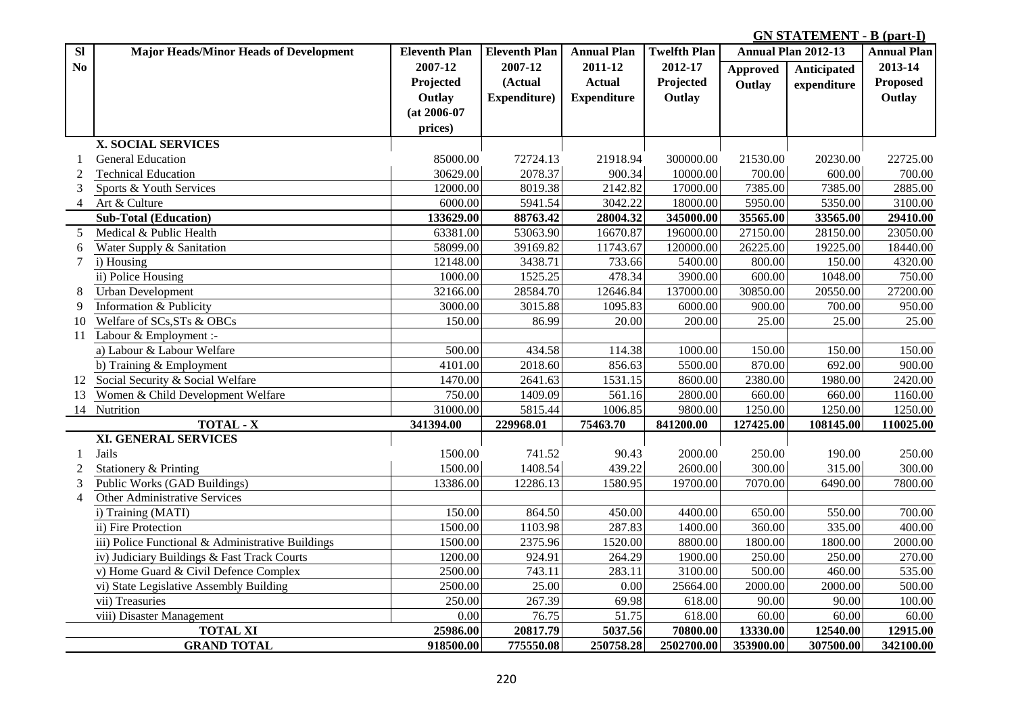**GN STATEMENT - B (part-I) .**

| $\overline{\mathbf{S}}$ | <b>Major Heads/Minor Heads of Development</b>     | <b>Eleventh Plan</b> | <b>Eleventh Plan</b> | <b>Annual Plan</b> | <b>Twelfth Plan</b> |                 | <b>Annual Plan 2012-13</b> | <b>Annual Plan</b> |
|-------------------------|---------------------------------------------------|----------------------|----------------------|--------------------|---------------------|-----------------|----------------------------|--------------------|
| No                      |                                                   | 2007-12              | 2007-12              | 2011-12            | 2012-17             | <b>Approved</b> | Anticipated                | 2013-14            |
|                         |                                                   | Projected            | (Actual              | <b>Actual</b>      | Projected           | Outlay          | expenditure                | Proposed           |
|                         |                                                   | Outlay               | Expenditure)         | <b>Expenditure</b> | Outlay              |                 |                            | Outlay             |
|                         |                                                   | $(at 2006-07)$       |                      |                    |                     |                 |                            |                    |
|                         |                                                   | prices)              |                      |                    |                     |                 |                            |                    |
|                         | <b>X. SOCIAL SERVICES</b>                         |                      |                      |                    |                     |                 |                            |                    |
|                         | <b>General Education</b>                          | 85000.00             | 72724.13             | 21918.94           | 300000.00           | 21530.00        | 20230.00                   | 22725.00           |
| $\overline{2}$          | <b>Technical Education</b>                        | 30629.00             | 2078.37              | 900.34             | 10000.00            | 700.00          | 600.00                     | 700.00             |
| 3                       | Sports & Youth Services                           | 12000.00             | 8019.38              | 2142.82            | 17000.00            | 7385.00         | 7385.00                    | 2885.00            |
| $\overline{4}$          | Art & Culture                                     | 6000.00              | 5941.54              | 3042.22            | 18000.00            | 5950.00         | 5350.00                    | 3100.00            |
|                         | <b>Sub-Total (Education)</b>                      | 133629.00            | 88763.42             | 28004.32           | 345000.00           | 35565.00        | 33565.00                   | 29410.00           |
| 5                       | Medical & Public Health                           | 63381.00             | 53063.90             | 16670.87           | 196000.00           | 27150.00        | 28150.00                   | 23050.00           |
| 6                       | Water Supply & Sanitation                         | 58099.00             | 39169.82             | 11743.67           | 120000.00           | 26225.00        | 19225.00                   | 18440.00           |
| $\tau$                  | i) Housing                                        | 12148.00             | 3438.71              | 733.66             | 5400.00             | 800.00          | 150.00                     | 4320.00            |
|                         | ii) Police Housing                                | 1000.00              | 1525.25              | 478.34             | 3900.00             | 600.00          | 1048.00                    | 750.00             |
| 8                       | <b>Urban Development</b>                          | 32166.00             | 28584.70             | 12646.84           | 137000.00           | 30850.00        | 20550.00                   | 27200.00           |
| 9                       | Information & Publicity                           | 3000.00              | 3015.88              | 1095.83            | 6000.00             | 900.00          | 700.00                     | 950.00             |
| 10                      | Welfare of SCs, STs & OBCs                        | 150.00               | 86.99                | 20.00              | 200.00              | 25.00           | 25.00                      | 25.00              |
| 11                      | Labour & Employment :-                            |                      |                      |                    |                     |                 |                            |                    |
|                         | a) Labour & Labour Welfare                        | 500.00               | 434.58               | 114.38             | 1000.00             | 150.00          | 150.00                     | 150.00             |
|                         | b) Training & Employment                          | 4101.00              | 2018.60              | 856.63             | 5500.00             | 870.00          | 692.00                     | 900.00             |
|                         | 12 Social Security & Social Welfare               | 1470.00              | 2641.63              | 1531.15            | 8600.00             | 2380.00         | 1980.00                    | 2420.00            |
| 13                      | Women & Child Development Welfare                 | 750.00               | 1409.09              | 561.16             | 2800.00             | 660.00          | 660.00                     | 1160.00            |
|                         | 14 Nutrition                                      | 31000.00             | 5815.44              | 1006.85            | 9800.00             | 1250.00         | 1250.00                    | 1250.00            |
|                         | <b>TOTAL - X</b>                                  | 341394.00            | 229968.01            | 75463.70           | 841200.00           | 127425.00       | 108145.00                  | 110025.00          |
|                         | <b>XI. GENERAL SERVICES</b>                       |                      |                      |                    |                     |                 |                            |                    |
| -1                      | Jails                                             | 1500.00              | 741.52               | 90.43              | 2000.00             | 250.00          | 190.00                     | 250.00             |
| $\overline{2}$          | Stationery & Printing                             | 1500.00              | 1408.54              | 439.22             | 2600.00             | 300.00          | 315.00                     | 300.00             |
| 3                       | Public Works (GAD Buildings)                      | 13386.00             | 12286.13             | 1580.95            | 19700.00            | 7070.00         | 6490.00                    | 7800.00            |
| $\overline{4}$          | Other Administrative Services                     |                      |                      |                    |                     |                 |                            |                    |
|                         | i) Training (MATI)                                | 150.00               | 864.50               | 450.00             | 4400.00             | 650.00          | 550.00                     | 700.00             |
|                         | ii) Fire Protection                               | 1500.00              | 1103.98              | 287.83             | 1400.00             | 360.00          | 335.00                     | 400.00             |
|                         | iii) Police Functional & Administrative Buildings | 1500.00              | 2375.96              | 1520.00            | 8800.00             | 1800.00         | 1800.00                    | 2000.00            |
|                         | iv) Judiciary Buildings & Fast Track Courts       | 1200.00              | 924.91               | 264.29             | 1900.00             | 250.00          | 250.00                     | 270.00             |
|                         | v) Home Guard & Civil Defence Complex             | 2500.00              | 743.11               | 283.11             | 3100.00             | 500.00          | 460.00                     | 535.00             |
|                         | vi) State Legislative Assembly Building           | 2500.00              | 25.00                | 0.00               | 25664.00            | 2000.00         | 2000.00                    | 500.00             |
|                         | vii) Treasuries                                   | 250.00               | 267.39               | 69.98              | 618.00              | 90.00           | 90.00                      | 100.00             |
|                         | viii) Disaster Management                         | 0.00                 | 76.75                | 51.75              | 618.00              | 60.00           | 60.00                      | 60.00              |
|                         | <b>TOTAL XI</b>                                   | 25986.00             | 20817.79             | 5037.56            | 70800.00            | 13330.00        | 12540.00                   | 12915.00           |
|                         | <b>GRAND TOTAL</b>                                | 918500.00            | 775550.08            | 250758.28          | 2502700.00          | 353900.00       | 307500.00                  | 342100.00          |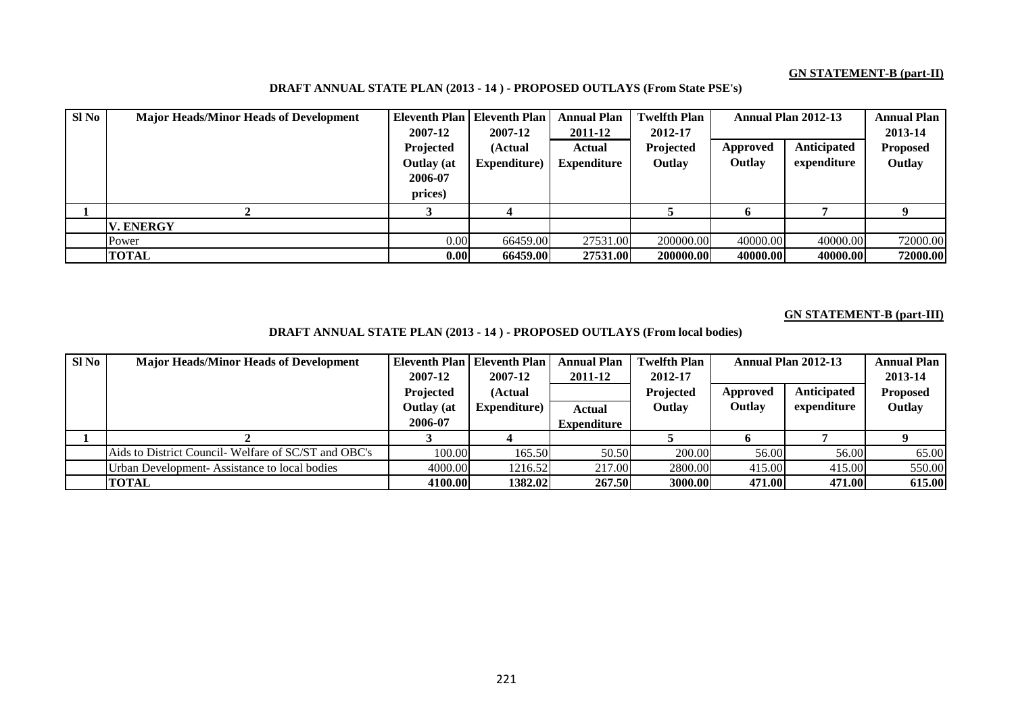#### **GN STATEMENT-B (part-II)**

| $SI$ No | <b>Major Heads/Minor Heads of Development</b> | Eleventh Plan     | <b>Eleventh Plan</b> | <b>Annual Plan</b> | <b>Twelfth Plan</b> |          | Annual Plan 2012-13 | <b>Annual Plan</b> |
|---------|-----------------------------------------------|-------------------|----------------------|--------------------|---------------------|----------|---------------------|--------------------|
|         |                                               | 2007-12           | 2007-12              | 2011-12            | 2012-17             |          |                     | 2013-14            |
|         |                                               | Projected         | (Actual              | Actual             | Projected           | Approved | <b>Anticipated</b>  | <b>Proposed</b>    |
|         |                                               | <b>Outlay</b> (at | Expenditure)         | <b>Expenditure</b> | Outlay              | Outlay   | expenditure         | Outlay             |
|         |                                               | 2006-07           |                      |                    |                     |          |                     |                    |
|         |                                               | prices)           |                      |                    |                     |          |                     |                    |
|         |                                               |                   |                      |                    |                     |          |                     |                    |
|         | <b>V. ENERGY</b>                              |                   |                      |                    |                     |          |                     |                    |
|         | Power                                         | 0.00              | 66459.00             | 27531.00           | 200000.00           | 40000.00 | 40000.00            | 72000.00           |
|         | <b>TOTAL</b>                                  | 0.001             | 66459.00             | 27531.00           | 200000.00           | 40000.00 | 40000.00            | 72000.00           |

### **DRAFT ANNUAL STATE PLAN (2013 - 14 ) - PROPOSED OUTLAYS (From State PSE's)**

#### **GN STATEMENT-B (part-III)**

**DRAFT ANNUAL STATE PLAN (2013 - 14 ) - PROPOSED OUTLAYS (From local bodies)**

| $SI$ No | <b>Major Heads/Minor Heads of Development</b>       |                   | Eleventh Plan   Eleventh Plan | <b>Annual Plan</b> | <b>Twelfth Plan</b> |          | Annual Plan 2012-13 | <b>Annual Plan</b> |
|---------|-----------------------------------------------------|-------------------|-------------------------------|--------------------|---------------------|----------|---------------------|--------------------|
|         |                                                     | 2007-12           | 2007-12                       | 2011-12            | 2012-17             |          |                     | 2013-14            |
|         |                                                     | Projected         | (Actual                       |                    | Projected           | Approved | Anticipated         | <b>Proposed</b>    |
|         |                                                     | <b>Outlay</b> (at | Expenditure)                  | <b>Actual</b>      | Outlay              | Outlay   | expenditure         | Outlay             |
|         |                                                     | 2006-07           |                               | <b>Expenditure</b> |                     |          |                     |                    |
|         |                                                     |                   |                               |                    |                     |          |                     |                    |
|         | Aids to District Council-Welfare of SC/ST and OBC's | 100.00            | 165.50                        | 50.50              | 200.00              | 56.00    | 56.00               | 65.00              |
|         | Urban Development-Assistance to local bodies        | 4000.00           | 1216.52                       | 217.00             | 2800.00             | 415.00   | 415.00              | 550.00             |
|         | <b>TOTAL</b>                                        | 4100.00           | 1382.02                       | 267.50             | 3000.00             | 471.00   | 471.00              | 615.00             |